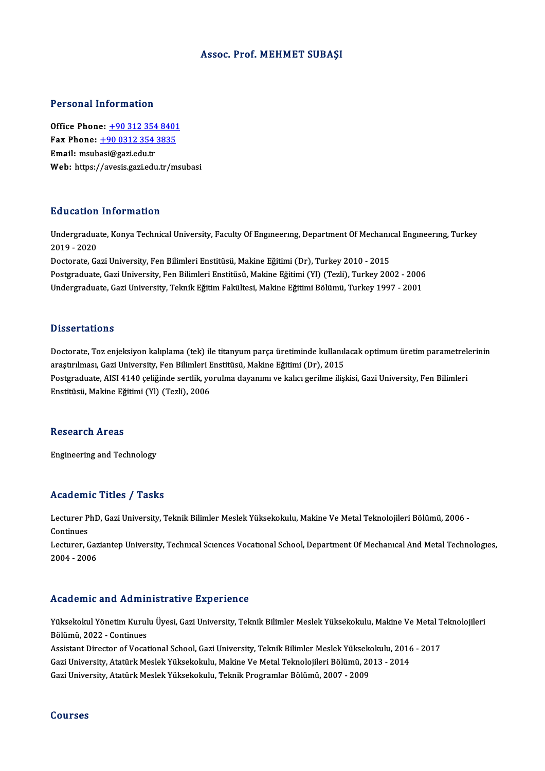#### Assoc. Prof.MEHMET SUBAŞI

#### Personal Information

**Personal Information<br>Office Phone: +90 312 354 8401<br>Fax Phone: +90 0212 254 2925** The Phone: <u>+90 312 354 8401</u><br>Tax Phone: <u>+90 312 354 8401</u><br>Fax Phone: <u>+90 0312 354 3835</u> Office Phone: <u>+90 312 354</u><br>Fax Phone: <u>+90 0312 354</u><br>Email: msub[asi@gazi.edu.tr](tel:+90 0312 354 3835) Fax Phone:  $\pm 90$  0312 354 3835<br>Email: msubasi@gazi.edu.tr<br>Web: https://avesis.gazi.edu.tr/msubasi

#### Education Information

**Education Information**<br>Undergraduate, Konya Technical University, Faculty Of Engıneerıng, Department Of Mechanıcal Engıneerıng, Turkey<br>2019 - 2020 201001<br>Undergradua<br>2019 - 2020<br>Desterate Ca Undergraduate, Konya Technical University, Faculty Of Engmeering, Department Of Mechanic<br>2019 - 2020<br>Doctorate, Gazi University, Fen Bilimleri Enstitüsü, Makine Eğitimi (Dr), Turkey 2010 - 2015<br>Postsraduate, Gazi Universit

2019 - 2020<br>Doctorate, Gazi University, Fen Bilimleri Enstitüsü, Makine Eğitimi (Dr), Turkey 2010 - 2015<br>Postgraduate, Gazi University, Fen Bilimleri Enstitüsü, Makine Eğitimi (Yl) (Tezli), Turkey 2002 - 2006<br>Undergraduate Doctorate, Gazi University, Fen Bilimleri Enstitüsü, Makine Eğitimi (Dr), Turkey 2010 - 2015<br>Postgraduate, Gazi University, Fen Bilimleri Enstitüsü, Makine Eğitimi (Yl) (Tezli), Turkey 2002 - 2006<br>Undergraduate, Gazi Unive Undergraduate, Gazi University, Teknik Eğitim Fakültesi, Makine Eğitimi Bölümü, Turkey 1997 - 2001<br>Dissertations

Dissertations<br>Doctorate, Toz enjeksiyon kalıplama (tek) ile titanyum parça üretiminde kullanılacak optimum üretim parametrelerinin<br>arastrulması, Gari University, Een Bilimleri Enstitüsü, Mekine Făitimi (Dr), 2015 arastırılması,<br>Doctorate, Toz enjeksiyon kalıplama (tek) ile titanyum parça üretiminde kullanılı<br>araştırılması, Gazi University, Fen Bilimleri Enstitüsü, Makine Eğitimi (Dr), 2015<br>Postanaduata, AISI 4140 seliğinde sertilir Doctorate, Toz enjeksiyon kalıplama (tek) ile titanyum parça üretiminde kullanılacak optimum üretim parametrel<br>araştırılması, Gazi University, Fen Bilimleri Enstitüsü, Makine Eğitimi (Dr), 2015<br>Postgraduate, AISI 4140 çeli araştırılması, Gazi University, Fen Bilimleri E<br>Postgraduate, AISI 4140 çeliğinde sertlik, yo<br>Enstitüsü, Makine Eğitimi (Yl) (Tezli), 2006 Enstitüsü, Makine Eğitimi (Yl) (Tezli), 2006<br>Research Areas

Engineering and Technology

#### Academic Titles / Tasks

**Academic Titles / Tasks**<br>Lecturer PhD, Gazi University, Teknik Bilimler Meslek Yüksekokulu, Makine Ve Metal Teknolojileri Bölümü, 2006 -<br>Centinues Lecturer P<br>Continues<br>Lecturer C Lecturer PhD, Gazi University, Teknik Bilimler Meslek Yüksekokulu, Makine Ve Metal Teknolojileri Bölümü, 2006 -<br>Continues<br>Lecturer, Gaziantep University, Technıcal Scıences Vocational School, Department Of Mechanıcal And M

Continues<br>Lecturer, Gaz<br>2004 - 2006 Academic and Administrative Experience

Yüksekokul Yönetim Kurulu Üyesi, Gazi University, Teknik Bilimler Meslek Yüksekokulu, Makine Ve Metal Teknolojileri Bölümü,2022 -Continues Yüksekokul Yönetim Kurulu Üyesi, Gazi University, Teknik Bilimler Meslek Yüksekokulu, Makine Ve Metal T<br>Bölümü, 2022 - Continues<br>Assistant Director of Vocational School, Gazi University, Teknik Bilimler Meslek Yüksekokulu,

Bölümü, 2022 - Continues<br>Assistant Director of Vocational School, Gazi University, Teknik Bilimler Meslek Yüksekokulu, 2016<br>Gazi University, Atatürk Meslek Yüksekokulu, Makine Ve Metal Teknolojileri Bölümü, 2013 - 2014<br>Caz Assistant Director of Vocational School, Gazi University, Teknik Bilimler Meslek Yükseko<br>Gazi University, Atatürk Meslek Yüksekokulu, Makine Ve Metal Teknolojileri Bölümü, 20<br>Gazi University, Atatürk Meslek Yüksekokulu, Te Gazi University, Atatürk Meslek Yüksekokulu, Teknik Programlar Bölümü, 2007 - 2009<br>Courses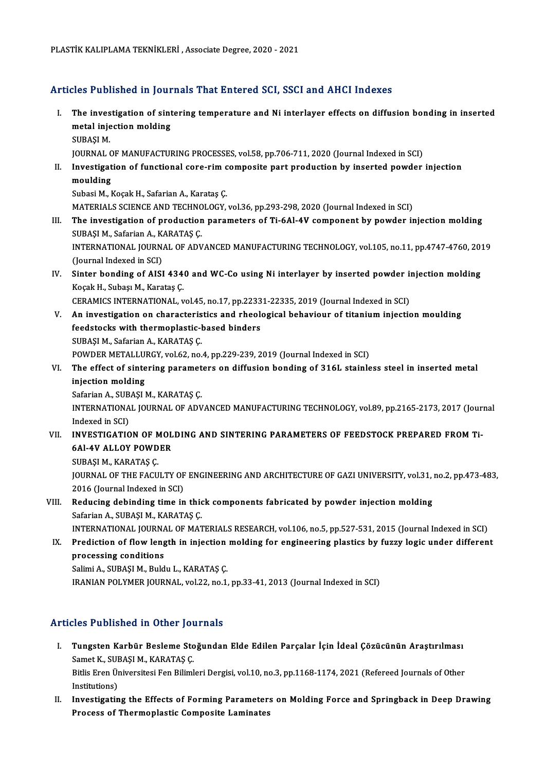#### Articles Published in Journals That Entered SCI, SSCI and AHCI Indexes

- rticles Published in Journals That Entered SCI, SSCI and AHCI Indexes<br>I. The investigation of sintering temperature and Ni interlayer effects on diffusion bonding in inserted<br>matel injection molding metal injection<br>The investigation of sint<br>metal injection molding<br>SURASI M The inves<br>metal inje<br>SUBAŞI M.<br>JOUPNAL 6 metal injection molding<br>SUBAŞI M.<br>JOURNAL OF MANUFACTURING PROCESSES, vol.58, pp.706-711, 2020 (Journal Indexed in SCI)<br>Investigation of functional sone nim sempesite part production by inserted pourder SUBAŞI M.<br>JOURNAL OF MANUFACTURING PROCESSES, vol.58, pp.706-711, 2020 (Journal Indexed in SCI)<br>II. Investigation of functional core-rim composite part production by inserted powder injection<br>moulding JOURNAL<br>Investigat<br>moulding<br>Subasi Mal Subasi M., Koçak H., Safarian A., Karataş Ç. moulding<br>Subasi M., Koçak H., Safarian A., Karataş Ç.<br>MATERIALS SCIENCE AND TECHNOLOGY, vol.36, pp.293-298, 2020 (Journal Indexed in SCI)<br>The investigation of production parameters of Ti-6Al AV semponent by powder it III. The investigation of production parameters of Ti-6Al-4V component by powder injection molding<br>SUBASI M., Safarian A., KARATAS C. MATERIALS SCIENCE AND TECHNO<br>The investigation of production<br>SUBAŞI M., Safarian A., KARATAŞ Ç.<br>INTERNATIONAL JOUPNAL OF ADV The investigation of production parameters of Ti-6Al-4V component by powder injection molding<br>SUBAŞI M., Safarian A., KARATAŞ Ç.<br>INTERNATIONAL JOURNAL OF ADVANCED MANUFACTURING TECHNOLOGY, vol.105, no.11, pp.4747-4760, 201 SUBAŞI M., Safarian A., K.<br>INTERNATIONAL JOURN.<br>(Journal Indexed in SCI)<br>Sinter bonding of AISI INTERNATIONAL JOURNAL OF ADVANCED MANUFACTURING TECHNOLOGY, vol.105, no.11, pp.4747-4760, 20:<br>(Journal Indexed in SCI)<br>IV. Sinter bonding of AISI 4340 and WC-Co using Ni interlayer by inserted powder injection molding<br>Kose (Journal Indexed in SCI)<br>Sinter bonding of AISI 434<br>Koçak H., Subaşı M., Karataş Ç.<br>CERAMICS INTERNATIONAL Sinter bonding of AISI 4340 and WC-Co using Ni interlayer by inserted powder in<br>Koçak H., Subaşı M., Karataş Ç.<br>CERAMICS INTERNATIONAL, vol.45, no.17, pp.22331-22335, 2019 (Journal Indexed in SCI)<br>An investigation on chara Koçak H., Subaşı M., Karataş Ç.<br>CERAMICS INTERNATIONAL, vol.45, no.17, pp.22331-22335, 2019 (Journal Indexed in SCI)<br>V. An investigation on characteristics and rheological behaviour of titanium injection moulding<br>foodstock CERAMICS INTERNATIONAL, vol.45, no.17, pp.2233<br>An investigation on characteristics and rheolofeedstocks with thermoplastic-based binders<br>SUPASLM, Safarian A, KARATAS C An investigation on characteris<br>feedstocks with thermoplastic-l<br>SUBAŞI M., Safarian A., KARATAŞ Ç.<br>POWDER METALLURCY vel 62 no. feedstocks with thermoplastic-based binders<br>SUBAŞI M., Safarian A., KARATAŞ Ç.<br>POWDER METALLURGY, vol.62, no.4, pp.229-239, 2019 (Journal Indexed in SCI)<br>The effect of sintering parameters on diffusion bonding of 316L stai SUBAŞI M., Safarian A., KARATAŞ Ç.<br>POWDER METALLURGY, vol.62, no.4, pp.229-239, 2019 (Journal Indexed in SCI)<br>VI. The effect of sintering parameters on diffusion bonding of 316L stainless steel in inserted metal<br>injection POWDER METALLUI<br>The effect of sinte<br>injection molding<br>Seferion A SUPASLI The effect of sintering paramet<br>injection molding<br>Safarian A., SUBAŞI M., KARATAŞ Ç.<br>INTERNATIONAL JOUPNAL OF ADV INTERNATIONAL JOURNAL OF ADVANCED MANUFACTURING TECHNOLOGY, vol.89, pp.2165-2173, 2017 (Journal Indexed in SCI) Safarian A., SUB<br>INTERNATIONA<br>Indexed in SCI)<br>INVESTIC ATIO INTERNATIONAL JOURNAL OF ADVANCED MANUFACTURING TECHNOLOGY, vol.89, pp.2165-2173, 2017 (Journal Indexed in SCI)<br>VII. INVESTIGATION OF MOLDING AND SINTERING PARAMETERS OF FEEDSTOCK PREPARED FROM Ti-Indexed in SCI)<br>INVESTIGATION OF MOL<br>6Al-4V ALLOY POWDER<br>SUBASI M-KABATAS C INVESTIGATION OF N<br>6Al-4V ALLOY POWD<br>SUBAŞI M., KARATAŞ Ç.<br>JOUPNAL OF THE FAÇU 6Al-4V ALLOY POWDER<br>SUBAŞI M., KARATAŞ Ç.<br>JOURNAL OF THE FACULTY OF ENGINEERING AND ARCHITECTURE OF GAZI UNIVERSITY, vol.31, no.2, pp.473-483,<br>2016 (Journal Indoved in SCI) SUBAŞI M., KARATAŞ Ç.<br>JOURNAL OF THE FACULTY OF<br>2016 (Journal Indexed in SCI)<br>Bedusing debinding time in JOURNAL OF THE FACULTY OF ENGINEERING AND ARCHITECTURE OF GAZI UNIVERSITY, vol.31,<br>2016 (Journal Indexed in SCI)<br>VIII. Reducing debinding time in thick components fabricated by powder injection molding<br>Sefarian A SUBASI M,
- 2016 (Journal Indexed in SCI)<br>Reducing debinding time in thic<br>Safarian A., SUBAŞI M., KARATAŞ Ç.<br>INTERNATIONAL JOURNAL OE MAT Safarian A., SUBAȘI M., KARATAȘ Ç.<br>INTERNATIONAL JOURNAL OF MATERIALS RESEARCH, vol.106, no.5, pp.527-531, 2015 (Journal Indexed in SCI)
- Safarian A., SUBAŞI M., KARATAŞ Ç.<br>INTERNATIONAL JOURNAL OF MATERIALS RESEARCH, vol.106, no.5, pp.527-531, 2015 (Journal Indexed in SCI)<br>IX. Prediction of flow length in injection molding for engineering plastics by fu **INTERNATIONAL JOURNA**<br>Prediction of flow leng<br>processing conditions<br>Salimi A SUPASI M Puld SalimiA.,SUBAŞIM.,Buldu L.,KARATAŞÇ.

processing conditions<br>Salimi A., SUBAŞI M., Buldu L., KARATAŞ Ç.<br>IRANIAN POLYMER JOURNAL, vol.22, no.1, pp.33-41, 2013 (Journal Indexed in SCI)

#### Articles Published in Other Journals

- rticles Published in Other Journals<br>I. Tungsten Karbür Besleme Stoğundan Elde Edilen Parçalar İçin İdeal Çözücünün Araştırılması<br>Samet K. SURASLM, KARATAS C Samet K., SUBAŞI M., KARATAŞ Ç.<br>Samet K., SUBAŞI M., KARATAŞ Ç.<br>Bitlis Enen Üniversitesi Een Biliml Tungsten Karbür Besleme Stoğundan Elde Edilen Parçalar İçin İdeal Çözücünün Araştırılması<br>Samet K., SUBAŞI M., KARATAŞ Ç.<br>Bitlis Eren Üniversitesi Fen Bilimleri Dergisi, vol.10, no.3, pp.1168-1174, 2021 (Refereed Journals Samet K., SUBAŞI M., KARATAŞ Ç.<br>Bitlis Eren Üniversitesi Fen Bilimleri Dergisi, vol.10, no.3, pp.1168-1174, 2021 (Refereed Journals of Other<br>Institutions) Bitlis Eren Üniversitesi Fen Bilimleri Dergisi, vol.10, no.3, pp.1168-1174, 2021 (Refereed Journals of Other<br>Institutions)<br>II. Investigating the Effects of Forming Parameters on Molding Force and Springback in Deep Drawing
- Institutions)<br>Investigating the Effects of Forming Parameter<br>Process of Thermoplastic Composite Laminates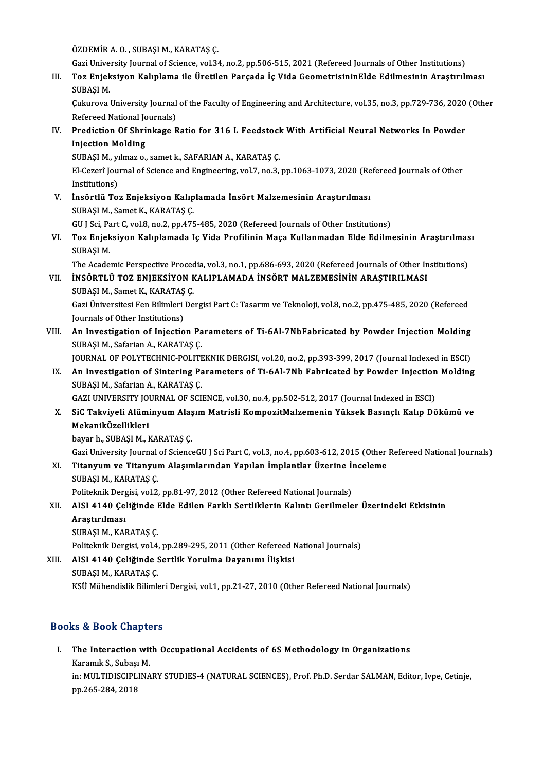ÖZDEMİR A.O., SUBAŞI M., KARATAŞ Ç.

Gazi University Journal of Science, vol.34, no.2, pp.506-515, 2021 (Refereed Journals of Other Institutions)

ÖZDEMİR A. O. , SUBAŞI M., KARATAŞ Ç.<br>Gazi University Journal of Science, vol.34, no.2, pp.506-515, 2021 (Refereed Journals of Other Institutions)<br>III. Toz Enjeksiyon Kalıplama ile Üretilen Parçada İç Vida Geometrisini Gazi Unive<br><mark>Toz Enjek</mark><br>SUBAŞI M.<br>Guburaya l Toz Enjeksiyon Kalıplama ile Üretilen Parçada İç Vida GeometrisininElde Edilmesinin Araştırılması<br>SUBAŞI M.<br>Çukurova University Journal of the Faculty of Engineering and Architecture, vol.35, no.3, pp.729-736, 2020 (Other<br>

SUBAŞI M.<br>Çukurova University Journal<br>Refereed National Journals)<br>Prodistion Of Shrinkage P Cukurova University Journal of the Faculty of Engineering and Architecture, vol.35, no.3, pp.729-736, 2020<br>Refereed National Journals)<br>IV. Prediction Of Shrinkage Ratio for 316 L Feedstock With Artificial Neural Networks I

Refereed National Jone<br>Prediction Of Shri<br>Injection Molding<br>SUPASI Marphage Prediction Of Shrinkage Ratio for 316 L Feedstock<br>Injection Molding<br>SUBAŞI M., yılmaz o., samet k., SAFARIAN A., KARATAŞ Ç.<br>El Cararî Journal of Science and Engineering vol 7, no 3

Injection Molding<br>SUBAŞI M., yılmaz o., samet k., SAFARIAN A., KARATAŞ Ç.<br>El-Cezerî Journal of Science and Engineering, vol.7, no.3, pp.1063-1073, 2020 (Refereed Journals of Other<br>Institutions) SUBAȘI M., yi<br>El-Cezerî Jou<br>Institutions)<br>Insărtlü To El-Cezerî Journal of Science and Engineering, vol.7, no.3, pp.1063-1073, 2020 (Re<br>Institutions)<br>V. İnsörtlü Toz Enjeksiyon Kalıplamada İnsört Malzemesinin Araştırılması<br>SUPASI M. Samat K. KARATAS C

Institutions)<br>V. İnsörtlü Toz Enjeksiyon Kalıplamada İnsört Malzemesinin Araştırılması<br>SUBAŞI M., Samet K., KARATAŞ Ç. İnsörtlü Toz Enjeksiyon Kalıplamada İnsört Malzemesinin Araştırılması<br>SUBAŞI M., Samet K., KARATAŞ Ç.<br>GU J Sci, Part C, vol.8, no.2, pp.475-485, 2020 (Refereed Journals of Other Institutions)<br>Teg Enjeksiyon Kalıplamada Je

SUBAŞI M., Samet K., KARATAŞ Ç.<br>GU J Sci, Part C, vol.8, no.2, pp.475-485, 2020 (Refereed Journals of Other Institutions)<br>VI. Toz Enjeksiyon Kalıplamada Iç Vida Profilinin Maça Kullanmadan Elde Edilmesinin Araştırılmas GU J Sci, Pa<br>**Toz Enjek**<br>SUBAŞI M.<br>The Asade Toz Enjeksiyon Kalıplamada Iç Vida Profilinin Maça Kullanmadan Elde Edilmesinin Araştırılmas<br>SUBAŞI M.<br>The Academic Perspective Procedia, vol.3, no.1, pp.686-693, 2020 (Refereed Journals of Other Institutions)<br>İNSÖRTI Ü TO

The Academic Perspective Procedia, vol.3, no.1, pp.686-693, 2020 (Refereed Journals of Other Institutions)

- SUBAŞI M.<br>The Academic Perspective Procedia, vol.3, no.1, pp.686-693, 2020 (Refereed Journals of Other In<br>VII. İNSÖRTLÜ TOZ ENJEKSİYON KALIPLAMADA İNSÖRT MALZEMESİNİN ARAŞTIRILMASI<br>SUBAŞI M., Samet K., KARATAŞ Ç. İNSÖRTLÜ TOZ ENJEKSİYON KALIPLAMADA İNSÖRT MALZEMESİNİN ARAŞTIRILMASI<br>SUBAŞI M., Samet K., KARATAŞ Ç.<br>Gazi Üniversitesi Fen Bilimleri Dergisi Part C: Tasarım ve Teknoloji, vol.8, no.2, pp.475-485, 2020 (Refereed<br>Journals o SUBAŞI M., Samet K., KARATAŞ<br>Gazi Üniversitesi Fen Bilimleri<br>Journals of Other Institutions)<br>An Investisation of Injestie
- Gazi Üniversitesi Fen Bilimleri Dergisi Part C: Tasarım ve Teknoloji, vol.8, no.2, pp.475-485, 2020 (Refereed<br>Journals of Other Institutions)<br>VIII. An Investigation of Injection Parameters of Ti-6Al-7NbFabricated by Powder Journals of Other Institutions)<br>An Investigation of Injection Parameters of Ti-6Al-7NbFabricated by Powder Injection Molding<br>SUBAŞI M., Safarian A., KARATAŞ Ç. An Investigation of Injection Parameters of Ti-6Al-7NbFabricated by Powder Injection Molding<br>SUBAŞI M., Safarian A., KARATAŞ Ç.<br>JOURNAL OF POLYTECHNIC-POLITEKNIK DERGISI, vol.20, no.2, pp.393-399, 2017 (Journal Indexed in

SUBAŞI M., Safarian A., KARATAŞ Ç.<br>JOURNAL OF POLYTECHNIC-POLITEKNIK DERGISI, vol.20, no.2, pp.393-399, 2017 (Journal Indexed in ESCI)<br>IX. An Investigation of Sintering Parameters of Ti-6Al-7Nb Fabricated by Powder Injecti JOURNAL OF POLYTECHNIC-POLITE<br>An Investigation of Sintering Pa<br>SUBAŞI M., Safarian A., KARATAŞ Ç.<br>CAZI UNIVERSITY JOURNAL OF SCI An Investigation of Sintering Parameters of Ti-6Al-7Nb Fabricated by Powder Injection<br>SUBAŞI M., Safarian A., KARATAŞ Ç.<br>GAZI UNIVERSITY JOURNAL OF SCIENCE, vol.30, no.4, pp.502-512, 2017 (Journal Indexed in ESCI)<br>SiC Takv SUBAŞI M., Safarian A., KARATAŞ Ç.<br>GAZI UNIVERSITY JOURNAL OF SCIENCE, vol.30, no.4, pp.502-512, 2017 (Journal Indexed in ESCI)<br>X. SiC Takviyeli Alüminyum Alaşım Matrisli KompozitMalzemenin Yüksek Basınçlı Kalıp Dökümü

MekanikÖzellikleri

bayar h., SUBAŞI M., KARATAŞ Ç.

Gazi University Journal of ScienceGU J Sci Part C, vol.3, no.4, pp.603-612, 2015 (Other Refereed National Journals)

bayar h., SUBAŞI M., KARATAŞ Ç.<br>Gazi University Journal of ScienceGU J Sci Part C, vol.3, no.4, pp.603-612, 2015 (Other<br>XI. Titanyum ve Titanyum Alaşımlarından Yapılan İmplantlar Üzerine İnceleme<br>SURASI M. KARATAS C Gazi University Journal<br>**Titanyum ve Titanyuı**<br>SUBAŞI M., KARATAŞ Ç.<br>Politelmik Dengisi vel 2 Titanyum ve Titanyum Alaşımlarından Yapılan İmplantlar Üzerine İ:<br>SUBAŞI M., KARATAŞ Ç.<br>Politeknik Dergisi, vol.2, pp.81-97, 2012 (Other Refereed National Journals)<br>AISL 4140 Goližinde Elde Edilen Farklı Sertliklerin Kalın

SUBAŞI M., KARATAŞ Ç.<br>Politeknik Dergisi, vol.2, pp.81-97, 2012 (Other Refereed National Journals)<br>XII. AISI 4140 Çeliğinde Elde Edilen Farklı Sertliklerin Kalıntı Gerilmeler Üzerindeki Etkisinin<br>Anastırılması Politeknik Derg<br>AISI 4140 Çel<br>Araştırılması AISI 4140 Çeliğinde I<br>Araştırılması<br>SUBAŞI M., KARATAŞ Ç.<br>Politelmik Dergisi yal 4

Araştırılması<br>SUBAŞI M., KARATAŞ Ç.<br>Politeknik Dergisi, vol.4, pp.289-295, 2011 (Other Refereed National Journals)<br>AISL 4140 Goliğinde Sertlik Yorulma Davanımı İlişkisi

SUBAŞI M., KARATAŞ Ç.<br>Politeknik Dergisi, vol.4, pp.289-295, 2011 (Other Refereed N<br>XIII. AISI 4140 Çeliğinde Sertlik Yorulma Dayanımı İlişkisi<br>SUBAŞI M., KARATAŞ Ç. Politeknik Dergisi, vol.4,<br>AISI 4140 Çeliğinde S<br>SUBAŞI M., KARATAŞ Ç.<br>KSÜ Mühandislik Bilimle KSÜ Mühendislik Bilimleri Dergisi, vol.1, pp.21-27, 2010 (Other Refereed National Journals)

#### Books&Book Chapters

ooks & Book Chapters<br>I. The Interaction with Occupational Accidents of 6S Methodology in Organizations<br>Karamuk S. Subasi M Karamık S., Subaşı<br>The Interaction with<br>Karamık S., Subaşı M.<br>in: MIII TIDISCIPI INA The Interaction with Occupational Accidents of 6S Methodology in Organizations<br>Karamık S., Subaşı M.<br>in: MULTIDISCIPLINARY STUDIES-4 (NATURAL SCIENCES), Prof. Ph.D. Serdar SALMAN, Editor, Ivpe, Cetinje,<br>nn 265 294 2019 Karamık S., Subaş<br>in: MULTIDISCIPL<br>pp.265-284, 2018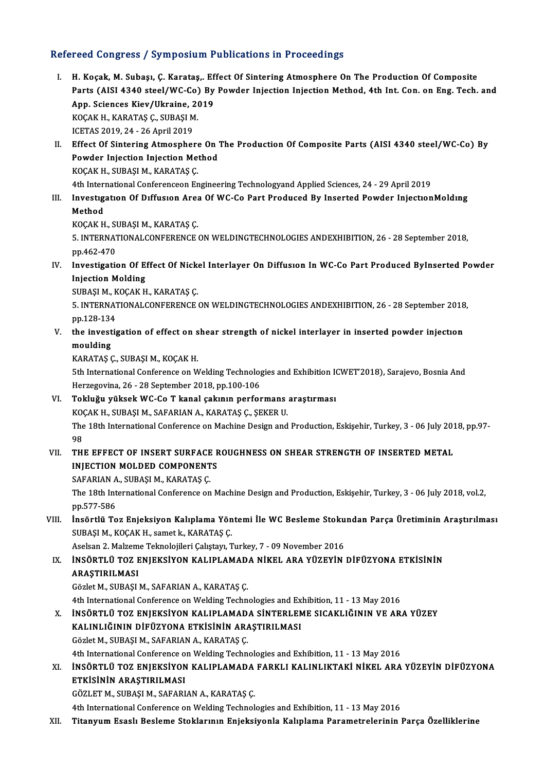#### Refereed Congress / Symposium Publications in Proceedings

- efereed Congress / Symposium Publications in Proceedings<br>I. H. Koçak, M. Subaşı, Ç. Karataş,. Effect Of Sintering Atmosphere On The Production Of Composite<br>Parts (AISL4240 steal/WC Co) By Bowder Injection Injection Method Poca Gongress / Symposium Pusheutions in Proceedings<br>H. Koçak, M. Subaşı, Ç. Karataş,. Effect Of Sintering Atmosphere On The Production Of Composite<br>Parts (AISI 4340 steel/WC-Co) By Powder Injection Injection Method, 4th I H. Koçak, M. Subaşı, Ç. Karataş,. Ef<br>Parts (AISI 4340 steel/WC-Co) By<br>App. Sciences Kiev/Ukraine, 2019<br><sup>VOCAV H. KARATAS C. SURASI M</sup> Parts (AISI 4340 steel/WC-Co)<br>App. Sciences Kiev/Ukraine, 20<br>KOÇAK H., KARATAŞ Ç., SUBAŞI M.<br>ICETAS 2010, 24, 26 April 2010 App. Sciences Kiev/Ukraine, 2019<br>KOÇAK H., KARATAŞ Ç., SUBAŞI M.<br>ICETAS 2019, 24 - 26 April 2019 KOÇAK H., KARATAŞ Ç., SUBAŞI M.<br>ICETAS 2019, 24 - 26 April 2019<br>II. Effect Of Sintering Atmosphere On The Production Of Composite Parts (AISI 4340 steel/WC-Co) By<br>Roydar Injection Injection Method
- ICETAS 2019, 24 26 April 2019<br>Effect Of Sintering Atmosphere On '<br>Powder Injection Injection Method<br>VOCAV H. SUPASI M. VARATAS C Effect Of Sintering Atmosphere<br>Powder Injection Injection Me<br>KOÇAK H., SUBAŞI M., KARATAŞ Ç.<br>4th International Conferenceon Er Powder Injection Injection Method<br>KOÇAK H., SUBAŞI M., KARATAŞ Ç.<br>4th International Conferenceon Engineering Technologyand Applied Sciences, 24 - 29 April 2019<br>Investigation Of Diffusion Apos Of W.C.Co Part Produced By Ins
	-
- KOÇAK H., SUBAŞI M., KARATAŞ Ç.<br>4th International Conferenceon Engineering Technologyand Applied Sciences, 24 29 April 2019<br>III. Investigation Of Diffusion Area Of WC-Co Part Produced By Inserted Powder InjectionMolding<br> 4th Interi<br>Investig<br>Method<br>*VOCAV* H Investigation Of Diffusion Area<br>Method<br>KOÇAK H., SUBAŞI M., KARATAŞ Ç.<br>5. INTERNATIONAL CONEERENCE

5. INTERNATIONALCONFERENCE ON WELDINGTECHNOLOGIES ANDEXHIBITION, 26 - 28 September 2018,<br>pp.462-470 KOÇAK H., SI<br>5. INTERNAT<br>pp.462-470<br>Investigatie 5. INTERNATIONALCONFERENCE ON WELDINGTECHNOLOGIES ANDEXHIBITION, 26 - 28 September 2018,<br>pp.462-470<br>IV. Investigation Of Effect Of Nickel Interlayer On Diffusion In WC-Co Part Produced ByInserted Powder<br>Injection Molding

PP.462-470<br>Investigation Of E<br>Injection Molding<br>SUPASIM *VOCAV* H Investigation Of Effect Of Nick<br>Injection Molding<br>SUBAŞI M., KOÇAK H., KARATAŞ Ç.<br>E. INTERNATIONAL CONEERENCE.

Injection Molding<br>SUBAŞI M., KOÇAK H., KARATAŞ Ç.<br>5. INTERNATIONALCONFERENCE ON WELDINGTECHNOLOGIES ANDEXHIBITION, 26 - 28 September 2018,<br>pp.138.134 SUBAŞI M., K<br>5. INTERNAT<br>pp.128-134<br>the investi 5. INTERNATIONALCONFERENCE ON WELDINGTECHNOLOGIES ANDEXHIBITION, 26 - 28 September 2018<br>pp.128-134<br>V. the investigation of effect on shear strength of nickel interlayer in inserted powder injection<br>moulding

pp.128-134<br>the investigation of effect on s<br>moulding<br>KARATAS C., SUBASI M., KOCAK H. V. the investigation of effect on shear strength of nickel interlayer in inserted powder injection

5th International Conference on Welding Technologies and Exhibition ICWET'2018), Sarajevo, Bosnia And Herzegovina, 26 - 28 September 2018, pp.100-106 5th International Conference on Welding Technologies and Exhibition IO<br>Herzegovina, 26 - 28 September 2018, pp.100-106<br>VI. Tokluğu yüksek WC-Co T kanal çakının performans araştırması<br>KOCAK H SUBASI M SAFARIAN A KARATAS C S

- Herzegovina, 26 28 September 2018, pp.100-106<br>Tokluğu yüksek WC-Co T kanal çakının performans<br>KOÇAK H., SUBAŞI M., SAFARIAN A., KARATAŞ Ç., ŞEKER U.<br>The 19th International Conference en Machine Decirn and Tokluğu yüksek WC-Co T kanal çakının performans araştırması<br>KOÇAK H., SUBAŞI M., SAFARIAN A., KARATAŞ Ç., ŞEKER U.<br>The 18th International Conference on Machine Design and Production, Eskişehir, Turkey, 3 - 06 July 2018, pp KO<br>The<br>98<br>TH The 18th International Conference on Machine Design and Production, Eskişehir, Turkey, 3 - 06 July 201<br>98<br>VII. THE EFFECT OF INSERT SURFACE ROUGHNESS ON SHEAR STRENGTH OF INSERTED METAL
- 98<br>THE EFFECT OF INSERT SURFACE R<br>INJECTION A SUPASIM KARATAS C THE EFFECT OF INSERT SURFACE<br>INJECTION MOLDED COMPONENT<br>SAFARIAN A., SUBAŞI M., KARATAŞ Ç.<br>The 19th International Conference on

INJECTION MOLDED COMPONENTS<br>SAFARIAN A., SUBAŞI M., KARATAŞ Ç.<br>The 18th International Conference on Machine Design and Production, Eskişehir, Turkey, 3 - 06 July 2018, vol.2,<br>nn 577, 586 SAFARIAN<br>The 18th Int<br>pp.577-586<br>Incērtlü Te The 18th International Conference on Machine Design and Production, Eskişehir, Turkey, 3 - 06 July 2018, vol.2,<br>pp.577-586<br>VIII. İnsörtlü Toz Enjeksiyon Kalıplama Yöntemi İle WC Besleme Stokundan Parça Üretiminin Araştırıl

pp.577-586<br>İnsörtlü Toz Enjeksiyon Kalıplama Yön<br>SUBAŞI M., KOÇAK H., samet k., KARATAŞ Ç.<br>Aselsan 2 Malzama Talmalejileri Calıstavı T İnsörtlü Toz Enjeksiyon Kalıplama Yöntemi İle WC Besleme Stoku<br>SUBAŞI M., KOÇAK H., samet k., KARATAŞ Ç.<br>Aselsan 2. Malzeme Teknolojileri Çalıştayı, Turkey, 7 - 09 November 2016<br>İNSÖRTI Ü TOZ ENIEKSİYON KALIBI AMADA NİKEL

## SUBAŞI M., KOÇAK H., samet k., KARATAŞ Ç.<br>Aselsan 2. Malzeme Teknolojileri Çalıştayı, Turkey, 7 - 09 November 2016<br>IX. İNSÖRTLÜ TOZ ENJEKSİYON KALIPLAMADA NİKEL ARA YÜZEYİN DİFÜZYONA ETKİSİNİN<br>ARASTIRILMASI Aselsan 2. Malzeme Teknolojileri Çalıştayı, Turkey, 7 - 09 November 2016<br>İNSÖRTLÜ TOZ ENJEKSİYON KALIPLAMADA NİKEL ARA YÜZEYİN<br>ARAŞTIRILMASI<br>Gözlet M., SUBASI M., SAFARIAN A., KARATAS C. İNSÖRTLÜ TOZ ENJEKSİYON KALIPLAMAD.<br>ARAŞTIRILMASI<br>Gözlet M., SUBAŞI M., SAFARIAN A., KARATAŞ Ç.<br>4th Intornational Conforence on Walding Teabn

4th International Conference on Welding Technologies and Exhibition, 11 - 13 May 2016

Gözlet M., SUBAŞI M., SAFARIAN A., KARATAŞ Ç.<br>4th International Conference on Welding Technologies and Exhibition, 11 - 13 May 2016<br>X. İNSÖRTLÜ TOZ ENJEKSİYON A ETKISİNIN ARASTIBILMASI<br>KALINI JÖJNIN DİEÜZYONA ETKISİNIN ARA 4th International Conference on Welding Technologies and Ex<br>INSÖRTLÜ TOZ ENJEKSIYON KALIPLAMADA SINTERLEN<br>KALINLIĞININ DİFÜZYONA ETKİSİNİN ARAŞTIRILMASI<br>Cözlet M. SURASI M. SAFARIAN A. KARATAS C İNSÖRTLÜ TOZ ENJEKSİYON KALIPLAMAD.<br>KALINLIĞININ DİFÜZYONA ETKİSİNİN ARA<br>Gözlet M., SUBAŞI M., SAFARIAN A., KARATAŞ Ç.<br>4th International Conference on Welding Techn KALINLIĞININ DİFÜZYONA ETKİSİNİN ARAŞTIRILMASI<br>Gözlet M., SUBAŞI M., SAFARIAN A., KARATAŞ Ç.<br>4th International Conference on Welding Technologies and Exhibition, 11 - 13 May 2016<br>İNSÖRTI Ü TOZ ENIEKSİYON KALIBI AMADA EARKL

## Gözlet M., SUBAŞI M., SAFARIAN A., KARATAŞ Ç.<br>4th International Conference on Welding Technologies and Exhibition, 11 - 13 May 2016<br>XI. İNSÖRTLÜ TOZ ENJEKSİYON KALIPLAMADA FARKLI KALINLIKTAKİ NİKEL ARA YÜZEYİN DİFÜZYONA<br>ET 4th International Conference o<br>İNSÖRTLÜ TOZ ENJEKSİYON<br>ETKİSİNİN ARAŞTIRILMASI<br>CÖZLET MASURASI MASARI İNSÖRTLÜ TOZ ENJEKSİYON KALIPLAMADA<br>ETKİSİNİN ARAŞTIRILMASI<br>GÖZLET M., SUBAŞI M., SAFARIAN A., KARATAŞ Ç.<br>4th International Conference on Welding Technol ETKİSİNİN ARAŞTIRILMASI<br>GÖZLET M., SUBAŞI M., SAFARIAN A., KARATAŞ Ç.<br>4th International Conference on Welding Technologies and Exhibition, 11 - 13 May 2016

XII. Titanyum Esaslı Besleme Stoklarının Enjeksiyonla Kalıplama Parametrelerinin Parça Özelliklerine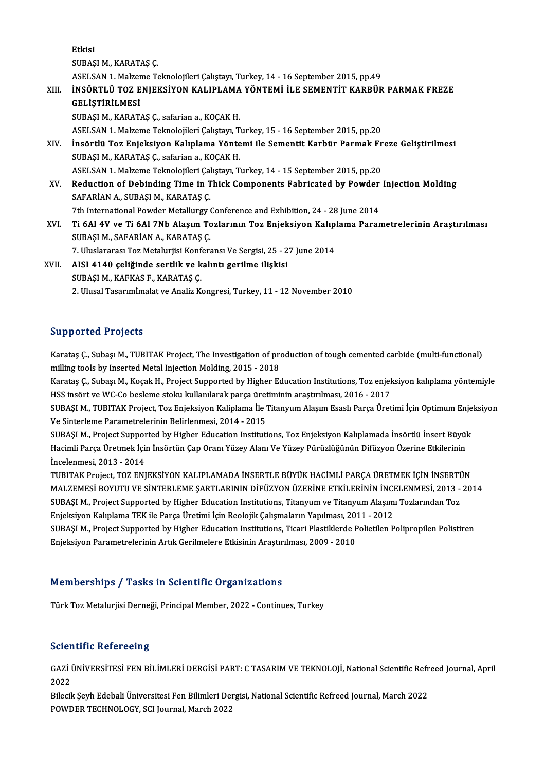Etkisi

SUBAŞI M., KARATAŞ Ç.

ASELSAN1.MalzemeTeknolojileriÇalıştayı,Turkey,14 -16 September 2015,pp.49

SUBAŞI M., KARATAŞ Ç.<br>ASELSAN 1. Malzeme Teknolojileri Çalıştayı, Turkey, 14 - 16 September 2015, pp.49<br>XIII. İNSÖRTLÜ TOZ ENJEKSİYON KALIPLAMA YÖNTEMİ İLE SEMENTİT KARBÜR PARMAK FREZE<br>CELİSTİDİLMESİ ASELSAN 1. Malzer<br>İNSÖRTLÜ TOZ E<br>GELİŞTİRİLMESİ<br>SURASI M. KARAT İNSÖRTLÜ TOZ ENJEKSİYON KALIPLAMA<br>GELİŞTİRİLMESİ<br>SUBAŞI M., KARATAŞ Ç., safarian a., KOÇAK H.<br>ASELSAN 1. Makama Taknalajileri Galetaya T GELİŞTİRİLMESİ<br>SUBAŞI M., KARATAŞ Ç., safarian a., KOÇAK H.<br>ASELSAN 1. Malzeme Teknolojileri Çalıştayı, Turkey, 15 - 16 September 2015, pp.20<br>İngörtlü Toz Enioksiyon Kalınlama Yöntemi ile Sementit Karbür Parmak Er

SUBAŞI M., KARATAŞ Ç., safarian a., KOÇAK H.<br>ASELSAN 1. Malzeme Teknolojileri Çalıştayı, Turkey, 15 - 16 September 2015, pp.20<br>XIV. İnsörtlü Toz Enjeksiyon Kalıplama Yöntemi ile Sementit Karbür Parmak Freze Geliştirilmesi<br> ASELSAN 1. Malzeme Teknolojileri Çalıştayı, T<br>İnsörtlü Toz Enjeksiyon Kalıplama Yönte<br>SUBAŞI M., KARATAŞ Ç., safarian a., KOÇAK H.<br>ASELSAN 1. Malzeme Telmolojileri Calıstayı, T İnsörtlü Toz Enjeksiyon Kalıplama Yöntemi ile Sementit Karbür Parmak Fr<br>SUBAŞI M., KARATAŞ Ç., safarian a., KOÇAK H.<br>ASELSAN 1. Malzeme Teknolojileri Çalıştayı, Turkey, 14 - 15 September 2015, pp.20<br>Bedustion of Dobinding

SUBAȘI M., KARATAȘ Ç., safarian a., KOÇAK H.<br>ASELSAN 1. Malzeme Teknolojileri Çalıştayı, Turkey, 14 - 15 September 2015, pp.20<br>XV. Reduction of Debinding Time in Thick Components Fabricated by Powder Injection Molding<br>SAFA ASELSAN 1. Malzeme Teknolojileri Çal<br>Reduction of Debinding Time in T<br>SAFARİAN A., SUBAŞI M., KARATAŞ Ç.<br>7th International Bouder Metallurgu Reduction of Debinding Time in Thick Components Fabricated by Powder<br>SAFARİAN A., SUBAŞI M., KARATAŞ Ç.<br>7th International Powder Metallurgy Conference and Exhibition, 24 - 28 June 2014<br>Ti 6ALAV ve Ti 6ALZNb Alasım Tozların

SAFARİAN A., SUBAŞI M., KARATAŞ Ç.<br>7th International Powder Metallurgy Conference and Exhibition, 24 - 28 June 2014<br>XVI. Ti 6Al 4V ve Ti 6Al 7Nb Alaşım Tozlarının Toz Enjeksiyon Kalıplama Parametrelerinin Araştırılması 7th International Powder Metallurgy<br>Ti 6Al 4V ve Ti 6Al 7Nb Alaşım To<br>SUBAŞI M., SAFARİAN A., KARATAŞ Ç.<br>7. Huslarares: Ter Metaluriki Konfort Ti 6Al 4V ve Ti 6Al 7Nb Alaşım Tozlarının Toz Enjeksiyon Kalıp<br>SUBAŞI M., SAFARİAN A., KARATAŞ Ç.<br>7. Uluslararası Toz Metalurjisi Konferansı Ve Sergisi, 25 - 27 June 2014<br>AISL 4140 qoliğinde sertlik ve kalıntı gerilme iliş

7. Uluslararası Toz Metalurjisi Konferansı Ve Sergisi, 25 - 27 June 2014

# SUBAŞI M., SAFARİAN A., KARATAŞ Ç.<br>7. Uluslararası Toz Metalurjisi Konferansı Ve Sergisi, 25 - 2<br>XVII. AISI 4140 çeliğinde sertlik ve kalıntı gerilme ilişkisi<br>SUBASI M., KAFKAS F., KARATAS C. 2. Ulusal Tasarımİmalat ve Analiz Kongresi, Turkey, 11 - 12 November 2010

#### Supported Projects

Supported Projects<br>Karataş Ç., Subaşı M., TUBITAK Project, The Investigation of production of tough cemented carbide (multi-functional)<br>milling tools by Inserted Metal Injection Molding, 2015 - 2019 milling toolstand in the Second<br>Karataş Ç., Subaşı M., TUBITAK Project, The Investigation of pro<br>Milling tools by Inserted Metal Injection Molding, 2015 - 2018<br>Karatas C., Subası M., Kasak H., Broject Supported by Higber E Karataş Ç., Subaşı M., TUBITAK Project, The Investigation of production of tough cemented carbide (multi-functional)<br>milling tools by Inserted Metal Injection Molding, 2015 - 2018<br>Karataş Ç., Subaşı M., Koçak H., Project S

milling tools by Inserted Metal Injection Molding, 2015 - 2018<br>Karataş Ç., Subaşı M., Koçak H., Project Supported by Higher Education Institutions, Toz enjel<br>HSS insört ve WC-Co besleme stoku kullanılarak parça üretiminin Karataş Ç., Subaşı M., Koçak H., Project Supported by Higher Education Institutions, Toz enjeksiyon kalıplama yöntemiyle<br>HSS insört ve WC-Co besleme stoku kullanılarak parça üretiminin araştırılması, 2016 - 2017<br>SUBAŞI M.,

HSS insört ve WC-Co besleme stoku kullanılarak parça üretiminin araştırılması, 2016 - 2017<br>SUBAŞI M., TUBITAK Project, Toz Enjeksiyon Kaliplama İle Titanyum Alaşım Esaslı Parça Üretimi İçin Optimum Enjeksiyon<br>Ve Sinterleme SUBAŞI M., TUBITAK Project, Toz Enjeksiyon Kaliplama İle Titanyum Alaşım Esaslı Parça Üretimi İçin Optimum Enje<br>Ve Sinterleme Parametrelerinin Belirlenmesi, 2014 - 2015<br>SUBAŞI M., Project Supported by Higher Education Inst

Ve Sinterleme Parametrelerinin Belirlenmesi, 2014 - 2015<br>SUBAŞI M., Project Supported by Higher Education Institutions, Toz Enjeksiyon Kalıplamada İnsörtlü İnsert Büyül<br>Hacimli Parça Üretmek İçin İnsörtün Çap Oranı Yüzey A SUBAŞI M., Project Suppor<br>Hacimli Parça Üretmek İçi<br>İncelenmesi, 2013 - 2014<br>TUBITAK Project TOZ FNI Hacimli Parça Üretmek İçin İnsörtün Çap Oranı Yüzey Alanı Ve Yüzey Pürüzlüğünün Difüzyon Üzerine Etkilerinin<br>İncelenmesi, 2013 - 2014<br>TUBITAK Project, TOZ ENJEKSİYON KALIPLAMADA İNSERTLE BÜYÜK HACİMLİ PARÇA ÜRETMEK İÇİN İN

İncelenmesi, 2013 - 2014<br>TUBITAK Project, TOZ ENJEKSİYON KALIPLAMADA İNSERTLE BÜYÜK HACİMLİ PARÇA ÜRETMEK İÇİN İNSERTÜN<br>MALZEMESİ BOYUTU VE SİNTERLEME ŞARTLARININ DİFÜZYON ÜZERİNE ETKİLERİNİN İNCELENMESİ, 2013 - 2014<br>SURAS TUBITAK Project, TOZ ENJEKSİYON KALIPLAMADA İNSERTLE BÜYÜK HACİMLİ PARÇA ÜRETMEK İÇİN İNSERTİ<br>MALZEMESİ BOYUTU VE SİNTERLEME ŞARTLARININ DİFÜZYON ÜZERİNE ETKİLERİNIN İNCELENMESİ, 2013 -<br>SUBAŞI M., Project Supported by High MALZEMESİ BOYUTU VE SİNTERLEME ŞARTLARININ DİFÜZYON ÜZERİNE ETKİLERİNİN İNCI<br>SUBAŞI M., Project Supported by Higher Education Institutions, Titanyum ve Titanyum Alaşım<br>Enjeksiyon Kalıplama TEK ile Parça Üretimi İçin Reoloj SUBAŞI M., Project Supported by Higher Education Institutions, Titanyum ve Titanyum Alaşımı Tozlarından Toz<br>Enjeksiyon Kalıplama TEK ile Parça Üretimi İçin Reolojik Çalışmaların Yapılması, 2011 - 2012<br>SUBAŞI M., Project Su Enjeksiyon Kalıplama TEK ile Parça Üretimi İçin Reolojik Çalışmaların Yapılması, 2011 - 2012<br>SUBAŞI M., Project Supported by Higher Education Institutions, Ticari Plastiklerde Polietilen Polipropilen Polistiren<br>Enjeksiyon

## Memberships / Tasks in Scientific Organizations

Türk Toz Metalurjisi Derneği, Principal Member, 2022 - Continues, Turkey

## **Scientific Refereeing**

Scientific Refereeing<br>GAZİ ÜNİVERSİTESİ FEN BİLİMLERİ DERGİSİ PART: C TASARIM VE TEKNOLOJİ, National Scientific Refreed Journal, April<br>2022 ا<br>GAZİ<br>2022<br>Pilogil GAZİ ÜNİVERSİTESİ FEN BİLİMLERİ DERGİSİ PART: C TASARIM VE TEKNOLOJİ, National Scientific Refr<br>2022<br>Bilecik Şeyh Edebali Üniversitesi Fen Bilimleri Dergisi, National Scientific Refreed Journal, March 2022<br>POWDER TECHNOLOCY

2022<br>Bilecik Şeyh Edebali Üniversitesi Fen Bilimleri Dergisi, National Scientific Refreed Journal, March 2022<br>POWDER TECHNOLOGY, SCI Journal, March 2022